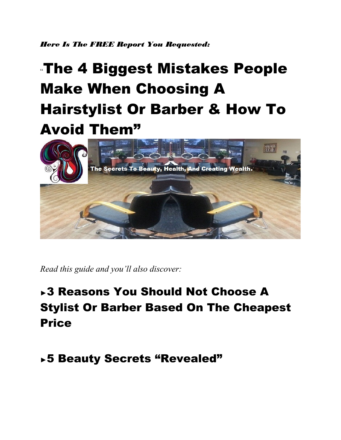*Here Is The FREE Report You Requested:*

# "The 4 Biggest Mistakes People Make When Choosing A Hairstylist Or Barber & How To Avoid Them"



*Read this guide and you'll also discover:*

## ►3 Reasons You Should Not Choose A Stylist Or Barber Based On The Cheapest Price

### ►5 Beauty Secrets "Revealed"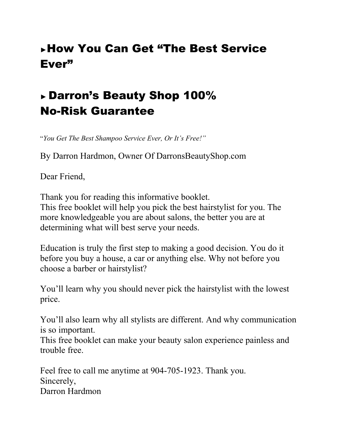### ►How You Can Get "The Best Service Ever"

### ► Darron's Beauty Shop 100% No-Risk Guarantee

"*You Get The Best Shampoo Service Ever, Or It's Free!"*

By Darron Hardmon, Owner Of DarronsBeautyShop.com

Dear Friend,

Thank you for reading this informative booklet. This free booklet will help you pick the best hairstylist for you. The more knowledgeable you are about salons, the better you are at determining what will best serve your needs.

Education is truly the first step to making a good decision. You do it before you buy a house, a car or anything else. Why not before you choose a barber or hairstylist?

You'll learn why you should never pick the hairstylist with the lowest price.

You'll also learn why all stylists are different. And why communication is so important.

This free booklet can make your beauty salon experience painless and trouble free.

Feel free to call me anytime at 904-705-1923. Thank you. Sincerely, Darron Hardmon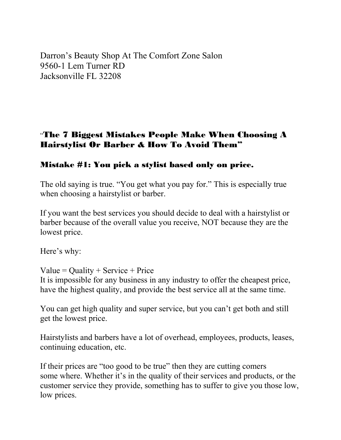Darron's Beauty Shop At The Comfort Zone Salon 9560-1 Lem Turner RD Jacksonville FL 32208

#### "The 7 Biggest Mistakes People Make When Choosing A Hairstylist Or Barber & How To Avoid Them"

#### Mistake #1: You pick a stylist based only on price.

The old saying is true. "You get what you pay for." This is especially true when choosing a hairstylist or barber.

If you want the best services you should decide to deal with a hairstylist or barber because of the overall value you receive, NOT because they are the lowest price.

Here's why:

Value = Quality + Service + Price It is impossible for any business in any industry to offer the cheapest price, have the highest quality, and provide the best service all at the same time.

You can get high quality and super service, but you can't get both and still get the lowest price.

Hairstylists and barbers have a lot of overhead, employees, products, leases, continuing education, etc.

If their prices are "too good to be true" then they are cutting comers some where. Whether it's in the quality of their services and products, or the customer service they provide, something has to suffer to give you those low, low prices.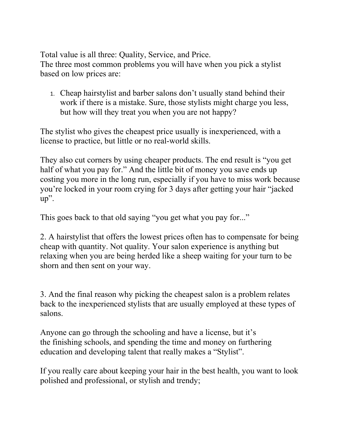Total value is all three: Quality, Service, and Price. The three most common problems you will have when you pick a stylist based on low prices are:

1. Cheap hairstylist and barber salons don't usually stand behind their work if there is a mistake. Sure, those stylists might charge you less, but how will they treat you when you are not happy?

The stylist who gives the cheapest price usually is inexperienced, with a license to practice, but little or no real-world skills.

They also cut corners by using cheaper products. The end result is "you get half of what you pay for." And the little bit of money you save ends up costing you more in the long run, especially if you have to miss work because you're locked in your room crying for 3 days after getting your hair "jacked up".

This goes back to that old saying "you get what you pay for..."

2. A hairstylist that offers the lowest prices often has to compensate for being cheap with quantity. Not quality. Your salon experience is anything but relaxing when you are being herded like a sheep waiting for your turn to be shorn and then sent on your way.

3. And the final reason why picking the cheapest salon is a problem relates back to the inexperienced stylists that are usually employed at these types of salons.

Anyone can go through the schooling and have a license, but it's the finishing schools, and spending the time and money on furthering education and developing talent that really makes a "Stylist".

If you really care about keeping your hair in the best health, you want to look polished and professional, or stylish and trendy;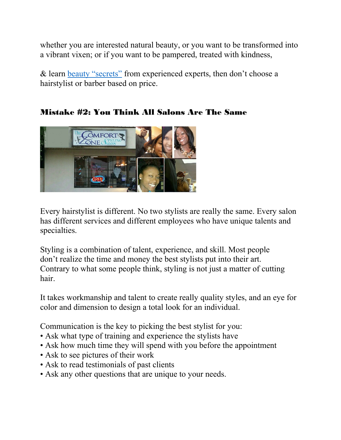whether you are interested natural beauty, or you want to be transformed into a vibrant vixen; or if you want to be pampered, treated with kindness,

& learn [beauty "secrets"](https://www.darronsbeautyshop.com/) from experienced experts, then don't choose a hairstylist or barber based on price.

#### Mistake #2: You Think All Salons Are The Same



Every hairstylist is different. No two stylists are really the same. Every salon has different services and different employees who have unique talents and specialties.

Styling is a combination of talent, experience, and skill. Most people don't realize the time and money the best stylists put into their art. Contrary to what some people think, styling is not just a matter of cutting hair.

It takes workmanship and talent to create really quality styles, and an eye for color and dimension to design a total look for an individual.

Communication is the key to picking the best stylist for you:

- Ask what type of training and experience the stylists have
- Ask how much time they will spend with you before the appointment
- Ask to see pictures of their work
- Ask to read testimonials of past clients
- Ask any other questions that are unique to your needs.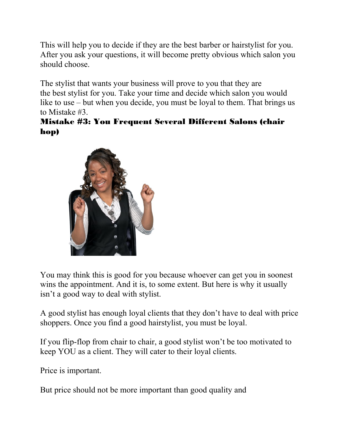This will help you to decide if they are the best barber or hairstylist for you. After you ask your questions, it will become pretty obvious which salon you should choose.

The stylist that wants your business will prove to you that they are the best stylist for you. Take your time and decide which salon you would like to use – but when you decide, you must be loyal to them. That brings us to Mistake #3.

#### Mistake #3: You Frequent Several Different Salons (chair hop)



You may think this is good for you because whoever can get you in soonest wins the appointment. And it is, to some extent. But here is why it usually isn't a good way to deal with stylist.

A good stylist has enough loyal clients that they don't have to deal with price shoppers. Once you find a good hairstylist, you must be loyal.

If you flip-flop from chair to chair, a good stylist won't be too motivated to keep YOU as a client. They will cater to their loyal clients.

Price is important.

But price should not be more important than good quality and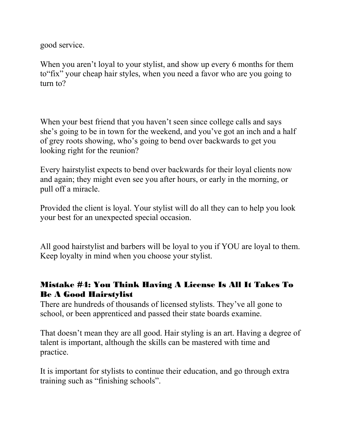good service.

When you aren't loyal to your stylist, and show up every 6 months for them to"fix" your cheap hair styles, when you need a favor who are you going to turn to?

When your best friend that you haven't seen since college calls and says she's going to be in town for the weekend, and you've got an inch and a half of grey roots showing, who's going to bend over backwards to get you looking right for the reunion?

Every hairstylist expects to bend over backwards for their loyal clients now and again; they might even see you after hours, or early in the morning, or pull off a miracle.

Provided the client is loyal. Your stylist will do all they can to help you look your best for an unexpected special occasion.

All good hairstylist and barbers will be loyal to you if YOU are loyal to them. Keep loyalty in mind when you choose your stylist.

#### Mistake #4: You Think Having A License Is All It Takes To Be A Good Hairstylist

There are hundreds of thousands of licensed stylists. They've all gone to school, or been apprenticed and passed their state boards examine.

That doesn't mean they are all good. Hair styling is an art. Having a degree of talent is important, although the skills can be mastered with time and practice.

It is important for stylists to continue their education, and go through extra training such as "finishing schools".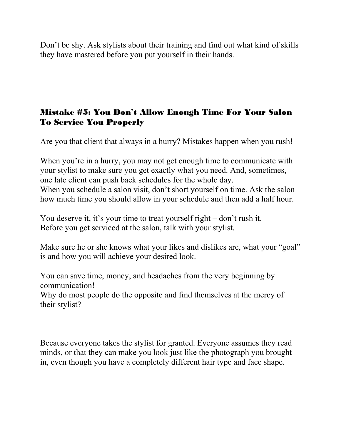Don't be shy. Ask stylists about their training and find out what kind of skills they have mastered before you put yourself in their hands.

#### Mistake #5: You Don't Allow Enough Time For Your Salon To Service You Properly

Are you that client that always in a hurry? Mistakes happen when you rush!

When you're in a hurry, you may not get enough time to communicate with your stylist to make sure you get exactly what you need. And, sometimes, one late client can push back schedules for the whole day. When you schedule a salon visit, don't short yourself on time. Ask the salon how much time you should allow in your schedule and then add a half hour.

You deserve it, it's your time to treat yourself right – don't rush it. Before you get serviced at the salon, talk with your stylist.

Make sure he or she knows what your likes and dislikes are, what your "goal" is and how you will achieve your desired look.

You can save time, money, and headaches from the very beginning by communication!

Why do most people do the opposite and find themselves at the mercy of their stylist?

Because everyone takes the stylist for granted. Everyone assumes they read minds, or that they can make you look just like the photograph you brought in, even though you have a completely different hair type and face shape.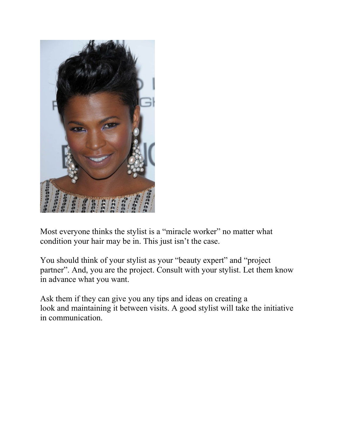

Most everyone thinks the stylist is a "miracle worker" no matter what condition your hair may be in. This just isn't the case.

You should think of your stylist as your "beauty expert" and "project partner". And, you are the project. Consult with your stylist. Let them know in advance what you want.

Ask them if they can give you any tips and ideas on creating a look and maintaining it between visits. A good stylist will take the initiative in communication.